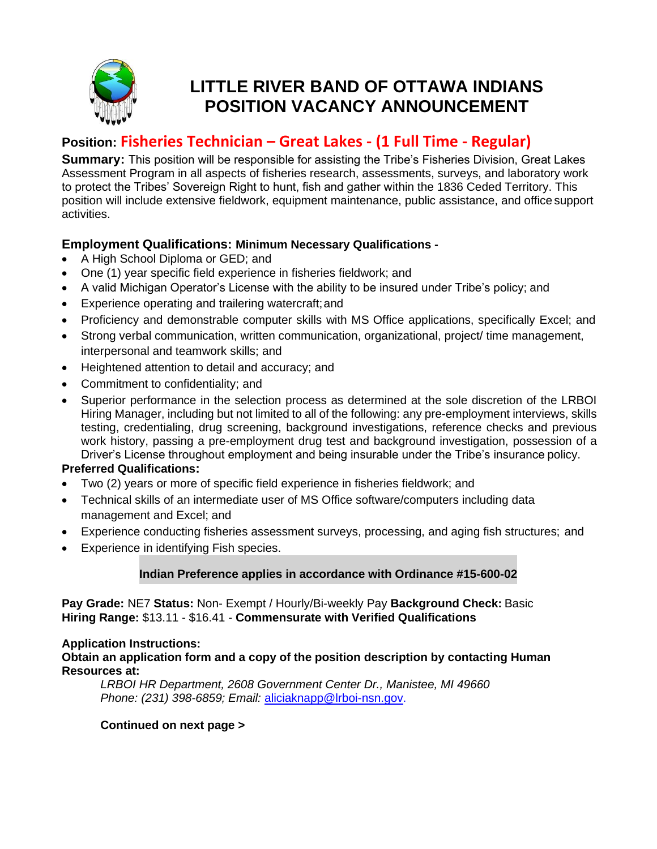

# **LITTLE RIVER BAND OF OTTAWA INDIANS POSITION VACANCY ANNOUNCEMENT**

# **Position: Fisheries Technician – Great Lakes - (1 Full Time - Regular)**

**Summary:** This position will be responsible for assisting the Tribe's Fisheries Division, Great Lakes Assessment Program in all aspects of fisheries research, assessments, surveys, and laboratory work to protect the Tribes' Sovereign Right to hunt, fish and gather within the 1836 Ceded Territory. This position will include extensive fieldwork, equipment maintenance, public assistance, and office support activities.

# **Employment Qualifications: Minimum Necessary Qualifications -**

- A High School Diploma or GED; and
- One (1) year specific field experience in fisheries fieldwork; and
- A valid Michigan Operator's License with the ability to be insured under Tribe's policy; and
- Experience operating and trailering watercraft;and
- Proficiency and demonstrable computer skills with MS Office applications, specifically Excel; and
- Strong verbal communication, written communication, organizational, project/ time management, interpersonal and teamwork skills; and
- Heightened attention to detail and accuracy; and
- Commitment to confidentiality; and
- Superior performance in the selection process as determined at the sole discretion of the LRBOI Hiring Manager, including but not limited to all of the following: any pre-employment interviews, skills testing, credentialing, drug screening, background investigations, reference checks and previous work history, passing a pre-employment drug test and background investigation, possession of a Driver's License throughout employment and being insurable under the Tribe's insurance policy.

# **Preferred Qualifications:**

- Two (2) years or more of specific field experience in fisheries fieldwork; and
- Technical skills of an intermediate user of MS Office software/computers including data management and Excel; and
- Experience conducting fisheries assessment surveys, processing, and aging fish structures; and
- Experience in identifying Fish species.

# **Indian Preference applies in accordance with Ordinance #15-600-02**

**Pay Grade:** NE7 **Status:** Non- Exempt / Hourly/Bi-weekly Pay **Background Check:** Basic **Hiring Range:** \$13.11 - \$16.41 - **Commensurate with Verified Qualifications**

### **Application Instructions:**

**Obtain an application form and a copy of the position description by contacting Human Resources at:**

*LRBOI HR Department, 2608 Government Center Dr., Manistee, MI 49660 Phone: (231) 398-6859; Email:* [aliciaknapp@lrboi-nsn.gov.](mailto:aliciaknapp@lrboi-nsn.gov)

### **Continued on next page >**